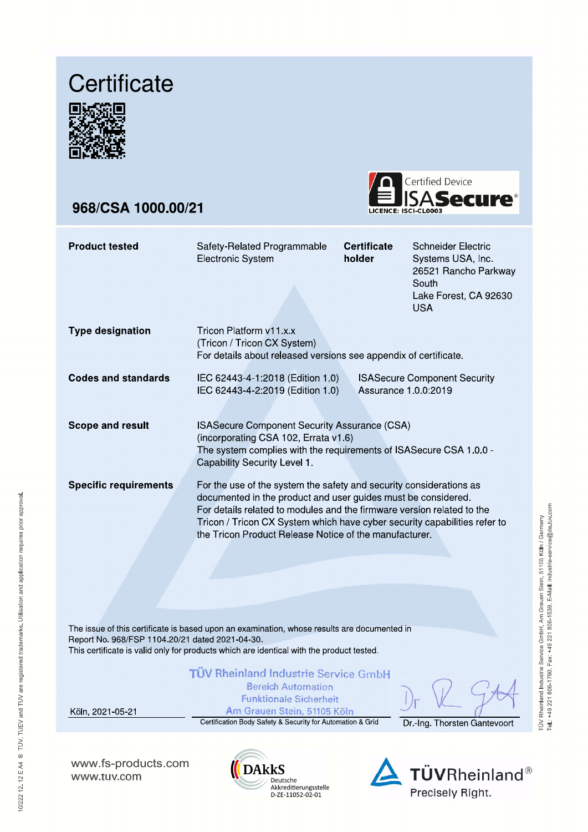## Certificate



## 968/CSA 1000.00/21



| <b>Product tested</b>        | Safety-Related Programmable<br><b>Electronic System</b>                                                                                                                                                                                                                                                                                               | <b>Certificate</b><br>holder | Schneider Electric<br>Systems USA, Inc.<br>26521 Rancho Parkway<br>South<br>Lake Forest, CA 92630<br><b>USA</b> |
|------------------------------|-------------------------------------------------------------------------------------------------------------------------------------------------------------------------------------------------------------------------------------------------------------------------------------------------------------------------------------------------------|------------------------------|-----------------------------------------------------------------------------------------------------------------|
| <b>Type designation</b>      | Tricon Platform y11 x x<br>(Tricon / Tricon CX System)<br>For details about released versions see appendix of certificate.                                                                                                                                                                                                                            |                              |                                                                                                                 |
| Codes and standards          | IEC 62443-4-1:2018 (Edition 1.0)<br>IEC 62443-4-2:2019 (Edition 1.0)                                                                                                                                                                                                                                                                                  | Assurance 1.0.0:2019         | <b>ISASecure Component Security</b>                                                                             |
| <b>Scope and result</b>      | <b>ISASecure Component Security Assurance (CSA)</b><br>(incorporating CSA 102, Errata v1.6)<br>The system complies with the requirements of ISASecure CSA 1.0.0 -<br>Capability Security Level 1.                                                                                                                                                     |                              |                                                                                                                 |
| <b>Specific requirements</b> | For the use of the system the safety and security considerations as<br>documented in the product and user guides must be considered.<br>For details related to modules and the firmware version related to the<br>Tricon / Tricon CX System which have cyber security capabilities refer to<br>the Tricon Product Release Notice of the manufacturer. |                              |                                                                                                                 |

The issue of this certificate is based upon an examination, whose results are documented in Report No. 968/FSP 1104.20/21 dated 2021-04-30. This certificate is valid only for products which are identical with the product tested.

## TÜV Rheinland Industrie Service GmbH

**Bereich Automation Funktionale Sicherheit** 

Köln, 2021-05-21

Am Grauen Stein, 51105 Köln Certification Body Safety & Security for Automation & Grid

Dr.-Ing. Thorsten Gantevoort